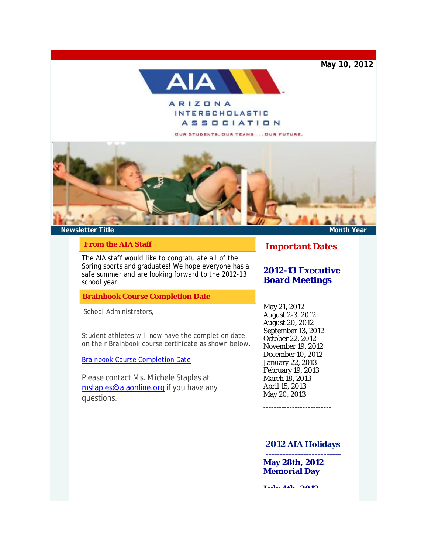**May 10, 2012**



# **ARIZONA INTERSCHOLASTIC ASSOCIATION**

OUR STUDENTS, OUR TEAMS... OUR FUTURE.



#### **From the AIA Staff**

[The AIA staff would like to congrat](http://r20.rs6.net/tn.jsp?e=001taAQRgH7tBvM-JJ1B9FnvrTqudjJHMWK9g74Qu4zxMn_TSL1hO8kKNUtTxnBgJ6ybzAO5POuqfs0YUU4EMi1GdqTMm9U_TpgthW0NhwC9OtR1WNnE2yyPnhUnE91XJ5raNVLAVDrFQTjC4JeD4i4C3vCBK3l_34uurXiU92sb31zeAGA-VJlTZVju0UICu__ld_QsadzXmM=)ulate all of the Spring sports and graduates! We hope everyone has a safe summer and are looking forward to the 2012-13 [school year.](mailto:mstaples@aiaonline.org)

**Brainbook Course Completion Date**

School Administrators,

Student athletes will now have the completion date on their Brainbook course certificate as shown below.

Brainbook Course Completion Date

Please contact Ms. Michele Staples at mstaples@aiaonline.org if you have any questions.

**Important Dates**

## **2012-13 Executive Board Meetings**

May 21, 2012 August 2-3, 2012 August 20, 2012 September 13, 2012 October 22, 2012 November 19, 2012 December 10, 2012 January 22, 2013 February 19, 2013 March 18, 2013 April 15, 2013 May 20, 2013

## **2012 AIA Holidays**

**-------------------------- May 28th, 2012 Memorial Day** 

--------------------------

**July 4th, 2012**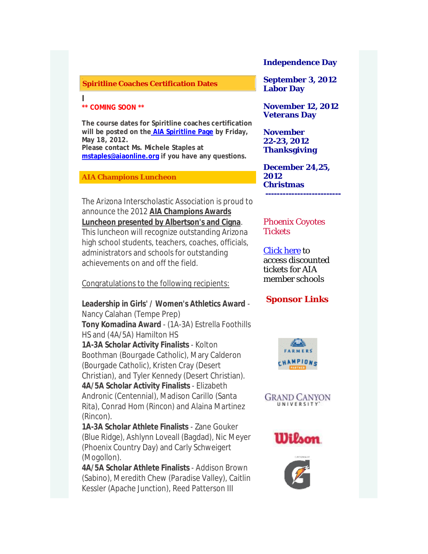### **Spiritline Coaches Certification Dates**

**\*\* COMING SOON \*\***

**I**

**The course dates for Spiritline coaches certification will be posted on the AIA Spiritline Page by Friday, May 18, 2012. Please contact Ms. Michele Staples at mstaples@aiaonline.org if you have any questions.** 

**AIA Champions Luncheon**

The Arizona Interscholastic Association is proud to announce the 2012 **AIA Champions Awards Luncheon presented by Albertson's and Cigna**. This luncheon will recognize outstanding Arizona high school students, teachers, coaches, officials, administrators and schools for outstanding achievements on and off the field.

Congratulations to the following recipients:

**Leadership in Girls' / Women's Athletics Award** - Nancy Calahan (Te[mpe Prep\)](http://r20.rs6.net/tn.jsp?e=001taAQRgH7tBvM-JJ1B9FnvrTqudjJHMWK9g74Qu4zxMn_TSL1hO8kKNUtTxnBgJ6ybzAO5POuqfvTO2BTObSDgGRscudG4DGF4eYtM7iY0LGp7L4MW42hI0iufnwrBHsDcVggBaVdH_IFpt-uInZAHBL15YMRA2JR)  **Tony Komadina Award** - (1A-3A) Estrella Foothills [HS and \(4A/5A\) Hamilt](mailto:mstaples@aiaonline.org)on HS **1A-3A Scholar Activity Finalists** - Kolton Boothman (Bourgade Catholic), Mary Calderon (Bourgade Catholic), Kristen Cray (Desert Christian), and Tyler Kennedy (Desert Christian). **4A/5A Scholar Activity Finalists** - Elizabeth Andronic (Centennial), Madison Carillo (Santa Rita), Conrad Hom (Rincon) and Alaina Martinez (Rincon).

**1A-3A Scholar Athlete Finalists** - Zane Gouker (Blue Ridge), Ashlynn Loveall (Bagdad), Nic Meyer (Phoenix Country Day) and Carly Schweigert (Mogollon).

**4A/5A Scholar Athlete Finalists** - Addison Brown (Sabino), Meredith Chew (Paradise Valley), Caitlin Kessler (Apache Junction), Reed Patterson III

**Independence Day**

**September 3, 2012 Labor Day** 

**November 12, 2012 Veterans Day** 

**November 22-23, 2012 Thanksgiving** 

**December 24,25, 2012 Christmas --------------------------** 

Phoenix Coyotes **Tickets** 

Click here to access discounted tickets for AIA member schools

# **Sponsor Li[nks](http://r20.rs6.net/tn.jsp?e=001taAQRgH7tBvM-JJ1B9FnvrTqudjJHMWK9g74Qu4zxMn_TSL1hO8kKNUtTxnBgJ6ybzAO5POuqfvTO2BTObSDgKUVb6CSsyQmrXwtUpX5-nk8LV8PF85-hA==)**